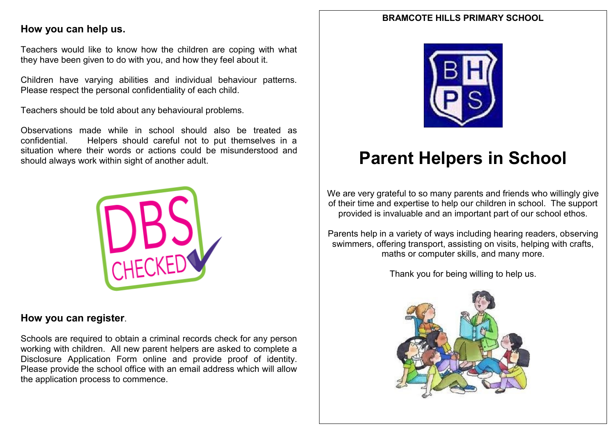#### **BRAMCOTE HILLS PRIMARY SCHOOL**

## **How you can help us.**

Teachers would like to know how the children are coping with what they have been given to do with you, and how they feel about it.

Children have varying abilities and individual behaviour patterns. Please respect the personal confidentiality of each child.

Teachers should be told about any behavioural problems.

Observations made while in school should also be treated as confidential. Helpers should careful not to put themselves in a situation where their words or actions could be misunderstood and should always work within sight of another adult.



### **How you can register**.

Schools are required to obtain a criminal records check for any person working with children. All new parent helpers are asked to complete a Disclosure Application Form online and provide proof of identity. Please provide the school office with an email address which will allow the application process to commence.



# **Parent Helpers in School**

We are very grateful to so many parents and friends who willingly give of their time and expertise to help our children in school. The support provided is invaluable and an important part of our school ethos.

Parents help in a variety of ways including hearing readers, observing swimmers, offering transport, assisting on visits, helping with crafts, maths or computer skills, and many more.

Thank you for being willing to help us.